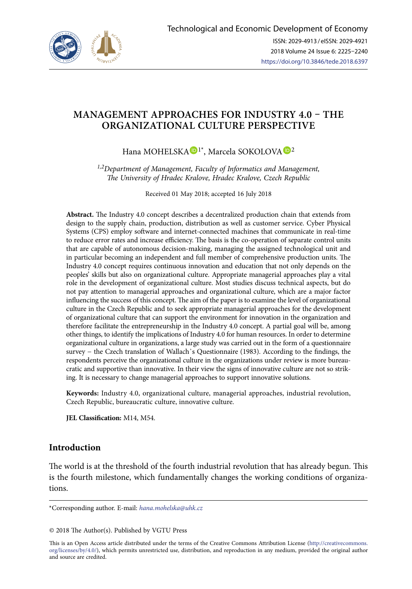

# **MANAGEMENT APPROACHES FOR INDUSTRY 4.0 – THE ORGANIZATIONAL CULTURE PERSPECTIVE**

Hana MOHELSKA <sup>D[1](https://orcid.org/0000-0003-0441-0712)\*</sup>, Marcela SOKOLOVA <sup>D[2](https://orcid.org/0000-0002-0641-7750)</sup>

*1,2Department of Management, Faculty of Informatics and Management, The University of Hradec Kralove, Hradec Kralove, Czech Republic*

Received 01 May 2018; accepted 16 July 2018

**Abstract.** The Industry 4.0 concept describes a decentralized production chain that extends from design to the supply chain, production, distribution as well as customer service. Cyber Physical Systems (CPS) employ software and internet-connected machines that communicate in real-time to reduce error rates and increase efficiency. The basis is the co-operation of separate control units that are capable of autonomous decision-making, managing the assigned technological unit and in particular becoming an independent and full member of comprehensive production units. The Industry 4.0 concept requires continuous innovation and education that not only depends on the peoples' skills but also on organizational culture. Appropriate managerial approaches play a vital role in the development of organizational culture. Most studies discuss technical aspects, but do not pay attention to managerial approaches and organizational culture, which are a major factor influencing the success of this concept. The aim of the paper is to examine the level of organizational culture in the Czech Republic and to seek appropriate managerial approaches for the development of organizational culture that can support the environment for innovation in the organization and therefore facilitate the entrepreneurship in the Industry 4.0 concept. A partial goal will be, among other things, to identify the implications of Industry 4.0 for human resources. In order to determine organizational culture in organizations, a large study was carried out in the form of a questionnaire survey – the Czech translation of Wallach's Questionnaire (1983). According to the findings, the respondents perceive the organizational culture in the organizations under review is more bureaucratic and supportive than innovative. In their view the signs of innovative culture are not so striking. It is necessary to change managerial approaches to support innovative solutions.

**Keywords:** Industry 4.0, organizational culture, managerial approaches, industrial revolution, Czech Republic, bureaucratic culture, innovative culture.

**JEL Classification:** M14, M54.

## **Introduction**

The world is at the threshold of the fourth industrial revolution that has already begun. This is the fourth milestone, which fundamentally changes the working conditions of organizations.

This is an Open Access article distributed under the terms of the Creative Commons Attribution License ([http://creativecommons.](http://creativecommons.org/licenses/by/4.0/) [org/licenses/by/4.0/\)](http://creativecommons.org/licenses/by/4.0/), which permits unrestricted use, distribution, and reproduction in any medium, provided the original author and source are credited.

<sup>\*</sup>Corresponding author. E-mail: *hana.mohelska@uhk.cz*

<sup>© 2018</sup> The Author(s). Published by VGTU Press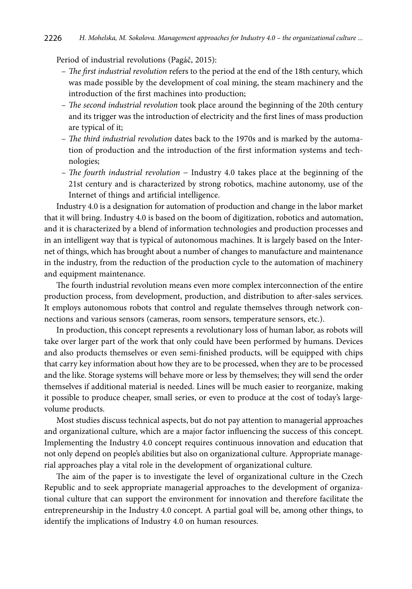Period of industrial revolutions (Pagáč, 2015):

- *The first industrial revolution* refers to the period at the end of the 18th century, which was made possible by the development of coal mining, the steam machinery and the introduction of the first machines into production;
- *The second industrial revolution* took place around the beginning of the 20th century and its trigger was the introduction of electricity and the first lines of mass production are typical of it;
- *The third industrial revolution* dates back to the 1970s and is marked by the automation of production and the introduction of the first information systems and technologies;
- *The fourth industrial revolution* − Industry 4.0 takes place at the beginning of the 21st century and is characterized by strong robotics, machine autonomy, use of the Internet of things and artificial intelligence.

Industry 4.0 is a designation for automation of production and change in the labor market that it will bring. Industry 4.0 is based on the boom of digitization, robotics and automation, and it is characterized by a blend of information technologies and production processes and in an intelligent way that is typical of autonomous machines. It is largely based on the Internet of things, which has brought about a number of changes to manufacture and maintenance in the industry, from the reduction of the production cycle to the automation of machinery and equipment maintenance.

The fourth industrial revolution means even more complex interconnection of the entire production process, from development, production, and distribution to after-sales services. It employs autonomous robots that control and regulate themselves through network connections and various sensors (cameras, room sensors, temperature sensors, etc.).

In production, this concept represents a revolutionary loss of human labor, as robots will take over larger part of the work that only could have been performed by humans. Devices and also products themselves or even semi-finished products, will be equipped with chips that carry key information about how they are to be processed, when they are to be processed and the like. Storage systems will behave more or less by themselves; they will send the order themselves if additional material is needed. Lines will be much easier to reorganize, making it possible to produce cheaper, small series, or even to produce at the cost of today's largevolume products.

Most studies discuss technical aspects, but do not pay attention to managerial approaches and organizational culture, which are a major factor influencing the success of this concept. Implementing the Industry 4.0 concept requires continuous innovation and education that not only depend on people's abilities but also on organizational culture. Appropriate managerial approaches play a vital role in the development of organizational culture.

The aim of the paper is to investigate the level of organizational culture in the Czech Republic and to seek appropriate managerial approaches to the development of organizational culture that can support the environment for innovation and therefore facilitate the entrepreneurship in the Industry 4.0 concept. A partial goal will be, among other things, to identify the implications of Industry 4.0 on human resources.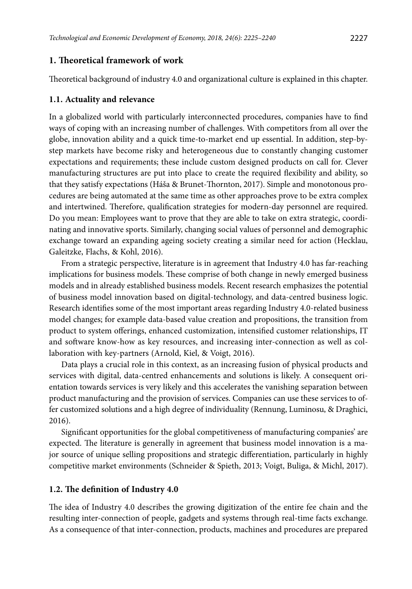### **1. Theoretical framework of work**

Theoretical background of industry 4.0 and organizational culture is explained in this chapter.

#### **1.1. Actuality and relevance**

In a globalized world with particularly interconnected procedures, companies have to find ways of coping with an increasing number of challenges. With competitors from all over the globe, innovation ability and a quick time-to-market end up essential. In addition, step-bystep markets have become risky and heterogeneous due to constantly changing customer expectations and requirements; these include custom designed products on call for. Clever manufacturing structures are put into place to create the required flexibility and ability, so that they satisfy expectations (Háša & Brunet-Thornton, 2017). Simple and monotonous procedures are being automated at the same time as other approaches prove to be extra complex and intertwined. Therefore, qualification strategies for modern-day personnel are required. Do you mean: Employees want to prove that they are able to take on extra strategic, coordinating and innovative sports. Similarly, changing social values of personnel and demographic exchange toward an expanding ageing society creating a similar need for action (Hecklau, Galeitzke, Flachs, & Kohl, 2016).

From a strategic perspective, literature is in agreement that Industry 4.0 has far-reaching implications for business models. These comprise of both change in newly emerged business models and in already established business models. Recent research emphasizes the potential of business model innovation based on digital-technology, and data-centred business logic. Research identifies some of the most important areas regarding Industry 4.0-related business model changes; for example data-based value creation and propositions, the transition from product to system offerings, enhanced customization, intensified customer relationships, IT and software know-how as key resources, and increasing inter-connection as well as collaboration with key-partners (Arnold, Kiel, & Voigt, 2016).

Data plays a crucial role in this context, as an increasing fusion of physical products and services with digital, data-centred enhancements and solutions is likely. A consequent orientation towards services is very likely and this accelerates the vanishing separation between product manufacturing and the provision of services. Companies can use these services to offer customized solutions and a high degree of individuality (Rennung, Luminosu, & Draghici, 2016).

Significant opportunities for the global competitiveness of manufacturing companies' are expected. The literature is generally in agreement that business model innovation is a major source of unique selling propositions and strategic differentiation, particularly in highly competitive market environments (Schneider & Spieth, 2013; Voigt, Buliga, & Michl, 2017).

### **1.2. The definition of Industry 4.0**

The idea of Industry 4.0 describes the growing digitization of the entire fee chain and the resulting inter-connection of people, gadgets and systems through real-time facts exchange. As a consequence of that inter-connection, products, machines and procedures are prepared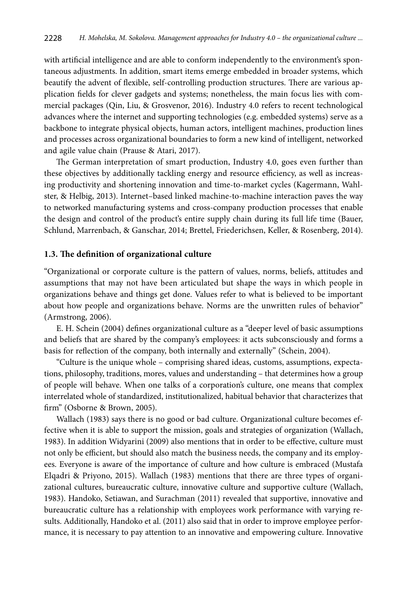with artificial intelligence and are able to conform independently to the environment's spontaneous adjustments. In addition, smart items emerge embedded in broader systems, which beautify the advent of flexible, self-controlling production structures. There are various application fields for clever gadgets and systems; nonetheless, the main focus lies with commercial packages (Qin, Liu, & Grosvenor, 2016). Industry 4.0 refers to recent technological advances where the internet and supporting technologies (e.g. embedded systems) serve as a backbone to integrate physical objects, human actors, intelligent machines, production lines and processes across organizational boundaries to form a new kind of intelligent, networked and agile value chain (Prause & Atari, 2017).

The German interpretation of smart production, Industry 4.0, goes even further than these objectives by additionally tackling energy and resource efficiency, as well as increasing productivity and shortening innovation and time-to-market cycles (Kagermann, Wahlster, & Helbig, 2013). Internet–based linked machine-to-machine interaction paves the way to networked manufacturing systems and cross-company production processes that enable the design and control of the product's entire supply chain during its full life time (Bauer, Schlund, Marrenbach, & Ganschar, 2014; Brettel, Friederichsen, Keller, & Rosenberg, 2014).

#### **1.3. The definition of organizational culture**

"Organizational or corporate culture is the pattern of values, norms, beliefs, attitudes and assumptions that may not have been articulated but shape the ways in which people in organizations behave and things get done. Values refer to what is believed to be important about how people and organizations behave. Norms are the unwritten rules of behavior" (Armstrong, 2006).

E. H. Schein (2004) defines organizational culture as a "deeper level of basic assumptions and beliefs that are shared by the company's employees: it acts subconsciously and forms a basis for reflection of the company, both internally and externally" (Schein, 2004).

"Culture is the unique whole – comprising shared ideas, customs, assumptions, expectations, philosophy, traditions, mores, values and understanding – that determines how a group of people will behave. When one talks of a corporation's culture, one means that complex interrelated whole of standardized, institutionalized, habitual behavior that characterizes that firm" (Osborne & Brown, 2005).

Wallach (1983) says there is no good or bad culture. Organizational culture becomes effective when it is able to support the mission, goals and strategies of organization (Wallach, 1983). In addition Widyarini (2009) also mentions that in order to be effective, culture must not only be efficient, but should also match the business needs, the company and its employees. Everyone is aware of the importance of culture and how culture is embraced (Mustafa Elqadri & Priyono, 2015). Wallach (1983) mentions that there are three types of organizational cultures, bureaucratic culture, innovative culture and supportive culture (Wallach, 1983). Handoko, Setiawan, and Surachman (2011) revealed that supportive, innovative and bureaucratic culture has a relationship with employees work performance with varying results. Additionally, Handoko et al. (2011) also said that in order to improve employee performance, it is necessary to pay attention to an innovative and empowering culture. Innovative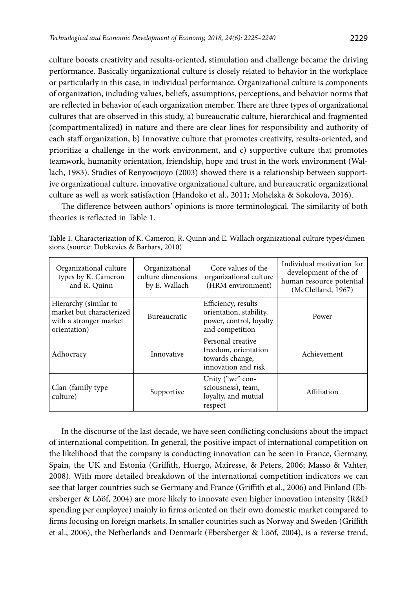culture boosts creativity and results-oriented, stimulation and challenge became the driving performance. Basically organizational culture is closely related to behavior in the workplace or particularly in this case, in individual performance. Organizational culture is components of organization, including values, beliefs, assumptions, perceptions, and behavior norms that are reflected in behavior of each organization member. There are three types of organizational cultures that are observed in this study, a) bureaucratic culture, hierarchical and fragmented (compartmentalized) in nature and there are clear lines for responsibility and authority of each staff organization, b) Innovative culture that promotes creativity, results-oriented, and prioritize a challenge in the work environment, and c) supportive culture that promotes teamwork, humanity orientation, friendship, hope and trust in the work environment (Wallach, 1983). Studies of Renyowijoyo (2003) showed there is a relationship between supportive organizational culture, innovative organizational culture, and bureaucratic organizational culture as well as work satisfaction (Handoko et al., 2011; Mohelska & Sokolova, 2016).

The difference between authors' opinions is more terminological. The similarity of both theories is reflected in Table 1.

| Table 1. Characterization of K. Cameron, R. Quinn and E. Wallach organizational culture types/dimen- |  |  |
|------------------------------------------------------------------------------------------------------|--|--|
| sions (source: Dubkevics & Barbars, 2010)                                                            |  |  |

| Organizational culture<br>types by K. Cameron<br>and R. Quinn                               | Organizational<br>culture dimensions<br>by E. Wallach | Core values of the<br>organizational culture<br>(HRM environment)                            | Individual motivation for<br>development of the of<br>human resource potential<br>(McClelland, 1967) |
|---------------------------------------------------------------------------------------------|-------------------------------------------------------|----------------------------------------------------------------------------------------------|------------------------------------------------------------------------------------------------------|
| Hierarchy (similar to<br>market but characterized<br>with a stronger market<br>orientation) | Bureaucratic                                          | Efficiency, results<br>orientation, stability,<br>power, control, loyalty<br>and competition | Power                                                                                                |
| Adhocracy                                                                                   | Innovative                                            | Personal creative<br>freedom, orientation<br>towards change,<br>innovation and risk          | Achievement                                                                                          |
| Clan (family type)<br>culture)                                                              | Supportive                                            | Unity ("we" con-<br>sciousness), team,<br>loyalty, and mutual<br>respect                     | Affiliation                                                                                          |

In the discourse of the last decade, we have seen conflicting conclusions about the impact of international competition. In general, the positive impact of international competition on the likelihood that the company is conducting innovation can be seen in France, Germany, Spain, the UK and Estonia (Griffith, Huergo, Mairesse, & Peters, 2006; Masso & Vahter, 2008). With more detailed breakdown of the international competition indicators we can see that larger countries such se Germany and France (Griffith et al., 2006) and Finland (Ebersberger & Lööf, 2004) are more likely to innovate even higher innovation intensity (R&D spending per employee) mainly in firms oriented on their own domestic market compared to firms focusing on foreign markets. In smaller countries such as Norway and Sweden (Griffith et al., 2006), the Netherlands and Denmark (Ebersberger & Lööf, 2004), is a reverse trend,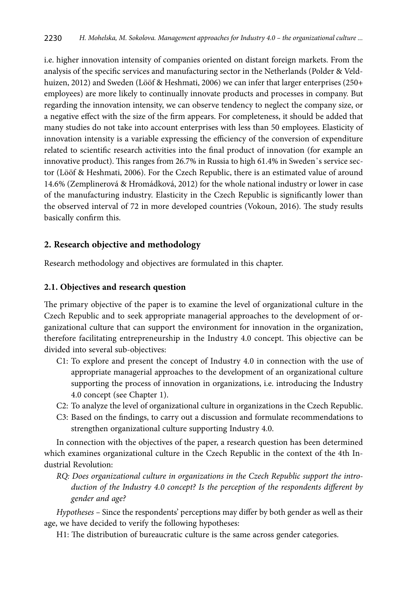i.e. higher innovation intensity of companies oriented on distant foreign markets. From the analysis of the specific services and manufacturing sector in the Netherlands (Polder & Veldhuizen, 2012) and Sweden (Lööf & Heshmati, 2006) we can infer that larger enterprises (250+ employees) are more likely to continually innovate products and processes in company. But regarding the innovation intensity, we can observe tendency to neglect the company size, or a negative effect with the size of the firm appears. For completeness, it should be added that many studies do not take into account enterprises with less than 50 employees. Elasticity of innovation intensity is a variable expressing the efficiency of the conversion of expenditure related to scientific research activities into the final product of innovation (for example an innovative product). This ranges from 26.7% in Russia to high 61.4% in Sweden's service sector (Lööf & Heshmati, 2006). For the Czech Republic, there is an estimated value of around 14.6% (Zemplinerová & Hromádková, 2012) for the whole national industry or lower in case of the manufacturing industry. Elasticity in the Czech Republic is significantly lower than the observed interval of 72 in more developed countries (Vokoun, 2016). The study results basically confirm this.

## **2. Research objective and methodology**

Research methodology and objectives are formulated in this chapter.

### **2.1. Objectives and research question**

The primary objective of the paper is to examine the level of organizational culture in the Czech Republic and to seek appropriate managerial approaches to the development of organizational culture that can support the environment for innovation in the organization, therefore facilitating entrepreneurship in the Industry 4.0 concept. This objective can be divided into several sub-objectives:

- C1: To explore and present the concept of Industry 4.0 in connection with the use of appropriate managerial approaches to the development of an organizational culture supporting the process of innovation in organizations, i.e. introducing the Industry 4.0 concept (see Chapter 1).
- C2: To analyze the level of organizational culture in organizations in the Czech Republic.
- C3: Based on the findings, to carry out a discussion and formulate recommendations to strengthen organizational culture supporting Industry 4.0.

In connection with the objectives of the paper, a research question has been determined which examines organizational culture in the Czech Republic in the context of the 4th Industrial Revolution:

*RQ: Does organizational culture in organizations in the Czech Republic support the introduction of the Industry 4.0 concept? Is the perception of the respondents different by gender and age?* 

*Hypotheses –* Since the respondents' perceptions may differ by both gender as well as their age, we have decided to verify the following hypotheses:

H1: The distribution of bureaucratic culture is the same across gender categories.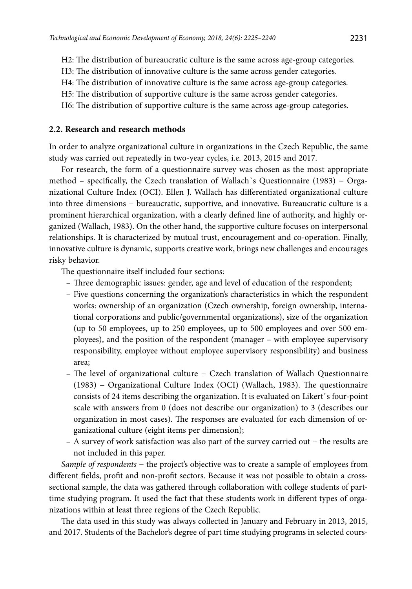- H2: The distribution of bureaucratic culture is the same across age-group categories.
- H3: The distribution of innovative culture is the same across gender categories.
- H4: The distribution of innovative culture is the same across age-group categories.
- H5: The distribution of supportive culture is the same across gender categories.
- H6: The distribution of supportive culture is the same across age-group categories.

### **2.2. Research and research methods**

In order to analyze organizational culture in organizations in the Czech Republic, the same study was carried out repeatedly in two-year cycles, i.e. 2013, 2015 and 2017.

For research, the form of a questionnaire survey was chosen as the most appropriate method – specifically, the Czech translation of Wallach᾽s Questionnaire (1983) − Organizational Culture Index (OCI). Ellen J. Wallach has differentiated organizational culture into three dimensions − bureaucratic, supportive, and innovative. Bureaucratic culture is a prominent hierarchical organization, with a clearly defined line of authority, and highly organized (Wallach, 1983). On the other hand, the supportive culture focuses on interpersonal relationships. It is characterized by mutual trust, encouragement and co-operation. Finally, innovative culture is dynamic, supports creative work, brings new challenges and encourages risky behavior.

The questionnaire itself included four sections:

- Three demographic issues: gender, age and level of education of the respondent;
- Five questions concerning the organization's characteristics in which the respondent works: ownership of an organization (Czech ownership, foreign ownership, international corporations and public/governmental organizations), size of the organization (up to 50 employees, up to 250 employees, up to 500 employees and over 500 employees), and the position of the respondent (manager – with employee supervisory responsibility, employee without employee supervisory responsibility) and business area;
- The level of organizational culture − Czech translation of Wallach Questionnaire (1983) − Organizational Culture Index (OCI) (Wallach, 1983). The questionnaire consists of 24 items describing the organization. It is evaluated on Likert᾽s four-point scale with answers from 0 (does not describe our organization) to 3 (describes our organization in most cases). The responses are evaluated for each dimension of organizational culture (eight items per dimension);
- A survey of work satisfaction was also part of the survey carried out − the results are not included in this paper.

*Sample of respondents* − the project's objective was to create a sample of employees from different fields, profit and non-profit sectors. Because it was not possible to obtain a crosssectional sample, the data was gathered through collaboration with college students of parttime studying program. It used the fact that these students work in different types of organizations within at least three regions of the Czech Republic.

The data used in this study was always collected in January and February in 2013, 2015, and 2017. Students of the Bachelor's degree of part time studying programs in selected cours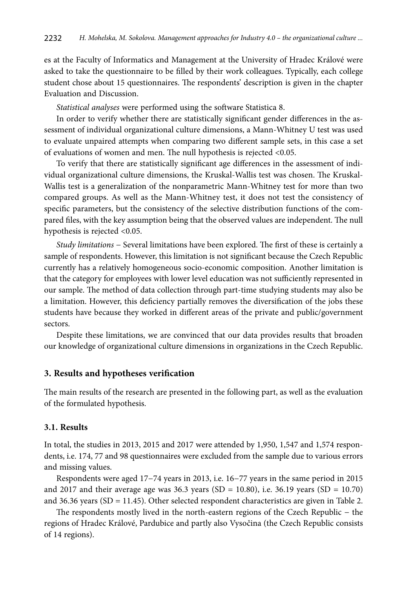es at the Faculty of Informatics and Management at the University of Hradec Králové were asked to take the questionnaire to be filled by their work colleagues. Typically, each college student chose about 15 questionnaires. The respondents' description is given in the chapter Evaluation and Discussion.

*Statistical analyses* were performed using the software Statistica 8.

In order to verify whether there are statistically significant gender differences in the assessment of individual organizational culture dimensions, a Mann-Whitney U test was used to evaluate unpaired attempts when comparing two different sample sets, in this case a set of evaluations of women and men. The null hypothesis is rejected <0.05.

To verify that there are statistically significant age differences in the assessment of individual organizational culture dimensions, the Kruskal-Wallis test was chosen. The Kruskal-Wallis test is a generalization of the nonparametric Mann-Whitney test for more than two compared groups. As well as the Mann-Whitney test, it does not test the consistency of specific parameters, but the consistency of the selective distribution functions of the compared files, with the key assumption being that the observed values are independent. The null hypothesis is rejected <0.05.

*Study limitations* − Several limitations have been explored. The first of these is certainly a sample of respondents. However, this limitation is not significant because the Czech Republic currently has a relatively homogeneous socio-economic composition. Another limitation is that the category for employees with lower level education was not sufficiently represented in our sample. The method of data collection through part-time studying students may also be a limitation. However, this deficiency partially removes the diversification of the jobs these students have because they worked in different areas of the private and public/government sectors.

Despite these limitations, we are convinced that our data provides results that broaden our knowledge of organizational culture dimensions in organizations in the Czech Republic.

#### **3. Results and hypotheses verification**

The main results of the research are presented in the following part, as well as the evaluation of the formulated hypothesis.

### **3.1. Results**

In total, the studies in 2013, 2015 and 2017 were attended by 1,950, 1,547 and 1,574 respondents, i.e. 174, 77 and 98 questionnaires were excluded from the sample due to various errors and missing values.

Respondents were aged 17−74 years in 2013, i.e. 16−77 years in the same period in 2015 and 2017 and their average age was 36.3 years (SD = 10.80), i.e. 36.19 years (SD = 10.70) and 36.36 years (SD = 11.45). Other selected respondent characteristics are given in Table 2.

The respondents mostly lived in the north-eastern regions of the Czech Republic − the regions of Hradec Králové, Pardubice and partly also Vysočina (the Czech Republic consists of 14 regions).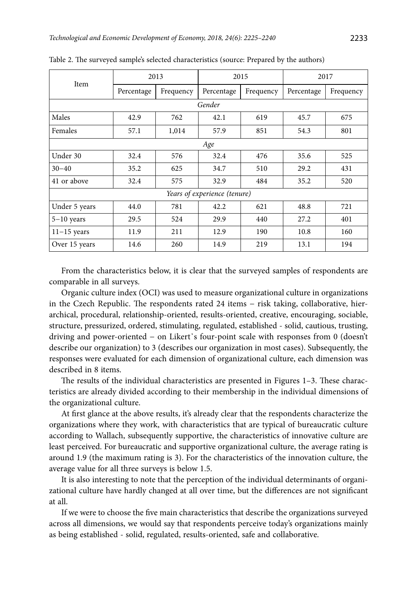| Item                         | 2013       |           | 2015       |           | 2017       |           |
|------------------------------|------------|-----------|------------|-----------|------------|-----------|
|                              | Percentage | Frequency | Percentage | Frequency | Percentage | Frequency |
|                              |            |           | Gender     |           |            |           |
| Males                        | 42.9       | 762       | 42.1       | 619       | 45.7       | 675       |
| Females                      | 57.1       | 1,014     | 57.9       | 851       | 54.3       | 801       |
|                              |            |           | Age        |           |            |           |
| Under 30                     | 32.4       | 576       | 32.4       | 476       | 35.6       | 525       |
| $30 - 40$                    | 35.2       | 625       | 34.7       | 510       | 29.2       | 431       |
| 41 or above                  | 32.4       | 575       | 32.9       | 484       | 35.2       | 520       |
| Years of experience (tenure) |            |           |            |           |            |           |
| Under 5 years                | 44.0       | 781       | 42.2       | 621       | 48.8       | 721       |
| $5-10$ years                 | 29.5       | 524       | 29.9       | 440       | 27.2       | 401       |
| $11-15$ years                | 11.9       | 211       | 12.9       | 190       | 10.8       | 160       |
| Over 15 years                | 14.6       | 260       | 14.9       | 219       | 13.1       | 194       |

Table 2. The surveyed sample's selected characteristics (source: Prepared by the authors)

From the characteristics below, it is clear that the surveyed samples of respondents are comparable in all surveys.

Organic culture index (OCI) was used to measure organizational culture in organizations in the Czech Republic. The respondents rated 24 items − risk taking, collaborative, hierarchical, procedural, relationship-oriented, results-oriented, creative, encouraging, sociable, structure, pressurized, ordered, stimulating, regulated, established - solid, cautious, trusting, driving and power-oriented − on Likert᾽s four-point scale with responses from 0 (doesn't describe our organization) to 3 (describes our organization in most cases). Subsequently, the responses were evaluated for each dimension of organizational culture, each dimension was described in 8 items.

The results of the individual characteristics are presented in Figures 1–3. These characteristics are already divided according to their membership in the individual dimensions of the organizational culture.

At first glance at the above results, it's already clear that the respondents characterize the organizations where they work, with characteristics that are typical of bureaucratic culture according to Wallach, subsequently supportive, the characteristics of innovative culture are least perceived. For bureaucratic and supportive organizational culture, the average rating is around 1.9 (the maximum rating is 3). For the characteristics of the innovation culture, the average value for all three surveys is below 1.5.

It is also interesting to note that the perception of the individual determinants of organizational culture have hardly changed at all over time, but the differences are not significant at all.

If we were to choose the five main characteristics that describe the organizations surveyed across all dimensions, we would say that respondents perceive today's organizations mainly as being established - solid, regulated, results-oriented, safe and collaborative.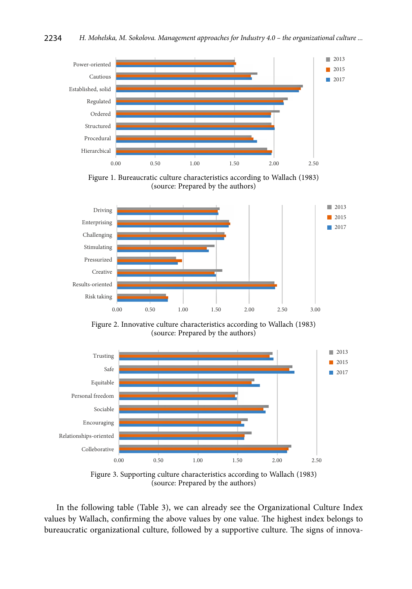

Figure 1. Bureaucratic culture characteristics according to Wallach (1983) (source: Prepared by the authors)



Figure 2. Innovative culture characteristics according to Wallach (1983) (source: Prepared by the authors)



Figure 3. Supporting culture characteristics according to Wallach (1983) (source: Prepared by the authors)

In the following table (Table 3), we can already see the Organizational Culture Index values by Wallach, confirming the above values by one value. The highest index belongs to bureaucratic organizational culture, followed by a supportive culture. The signs of innova-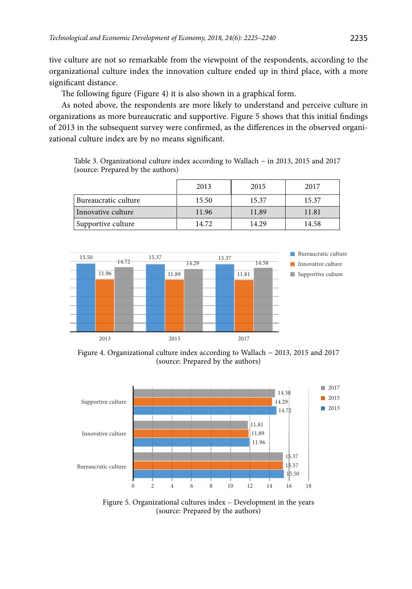tive culture are not so remarkable from the viewpoint of the respondents, according to the organizational culture index the innovation culture ended up in third place, with a more significant distance.

The following figure (Figure 4) it is also shown in a graphical form.

As noted above, the respondents are more likely to understand and perceive culture in organizations as more bureaucratic and supportive. Figure 5 shows that this initial findings of 2013 in the subsequent survey were confirmed, as the differences in the observed organizational culture index are by no means significant.

Table 3. Organizational culture index according to Wallach − in 2013, 2015 and 2017 (source: Prepared by the authors)

|                      | 2013  | 2015  | 2017  |
|----------------------|-------|-------|-------|
| Bureaucratic culture | 15.50 | 15.37 | 15.37 |
| Innovative culture   | 11.96 | 11.89 | 11.81 |
| Supportive culture   | 14.72 | 14.29 | 14.58 |



Figure 4. Organizational culture index according to Wallach − 2013, 2015 and 2017 (source: Prepared by the authors)



Figure 5. Organizational cultures index – Development in the years (source: Prepared by the authors)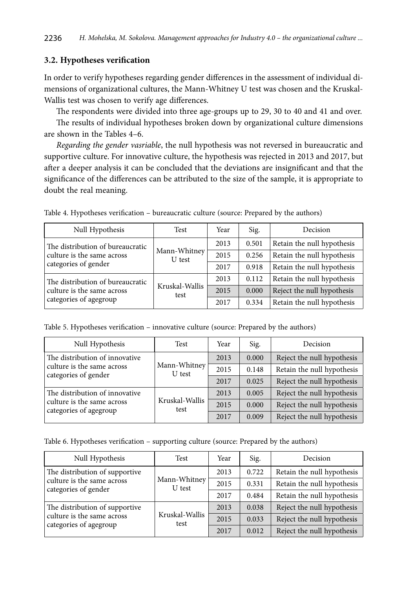## **3.2. Hypotheses verification**

In order to verify hypotheses regarding gender differences in the assessment of individual dimensions of organizational cultures, the Mann-Whitney U test was chosen and the Kruskal-Wallis test was chosen to verify age differences.

The respondents were divided into three age-groups up to 29, 30 to 40 and 41 and over. The results of individual hypotheses broken down by organizational culture dimensions

are shown in the Tables 4–6.

*Regarding the gender vasriable*, the null hypothesis was not reversed in bureaucratic and supportive culture. For innovative culture, the hypothesis was rejected in 2013 and 2017, but after a deeper analysis it can be concluded that the deviations are insignificant and that the significance of the differences can be attributed to the size of the sample, it is appropriate to doubt the real meaning.

| Null Hypothesis                                      | Test                   | Year | Sig.  | Decision                   |
|------------------------------------------------------|------------------------|------|-------|----------------------------|
| The distribution of bureaucratic                     |                        | 2013 | 0.501 | Retain the null hypothesis |
| culture is the same across<br>categories of gender   | Mann-Whitney<br>U test | 2015 | 0.256 | Retain the null hypothesis |
|                                                      |                        | 2017 | 0.918 | Retain the null hypothesis |
| The distribution of bureaucratic                     |                        | 2013 | 0.112 | Retain the null hypothesis |
| culture is the same across<br>categories of agegroup | Kruskal-Wallis<br>test | 2015 | 0.000 | Reject the null hypothesis |
|                                                      |                        | 2017 | 0.334 | Retain the null hypothesis |

Table 4. Hypotheses verification – bureaucratic culture (source: Prepared by the authors)

Table 5. Hypotheses verification – innovative culture (source: Prepared by the authors)

| Null Hypothesis                                      | Test                   | Year | Sig.  | Decision                   |
|------------------------------------------------------|------------------------|------|-------|----------------------------|
| The distribution of innovative                       |                        | 2013 | 0.000 | Reject the null hypothesis |
| culture is the same across<br>categories of gender   | Mann-Whitney<br>U test | 2015 | 0.148 | Retain the null hypothesis |
|                                                      |                        | 2017 | 0.025 | Reject the null hypothesis |
| The distribution of innovative                       |                        | 2013 | 0.005 | Reject the null hypothesis |
| culture is the same across<br>categories of agegroup | Kruskal-Wallis<br>test | 2015 | 0.000 | Reject the null hypothesis |
|                                                      |                        | 2017 | 0.009 | Reject the null hypothesis |

Table 6. Hypotheses verification – supporting culture (source: Prepared by the authors)

| Null Hypothesis                                      | Test                   | Year | Sig.  | Decision                   |
|------------------------------------------------------|------------------------|------|-------|----------------------------|
| The distribution of supportive                       |                        | 2013 | 0.722 | Retain the null hypothesis |
| culture is the same across<br>categories of gender   | Mann-Whitney<br>U test | 2015 | 0.331 | Retain the null hypothesis |
|                                                      |                        | 2017 | 0.484 | Retain the null hypothesis |
| The distribution of supportive                       | Kruskal-Wallis<br>test | 2013 | 0.038 | Reject the null hypothesis |
| culture is the same across<br>categories of agegroup |                        | 2015 | 0.033 | Reject the null hypothesis |
|                                                      |                        | 2017 | 0.012 | Reject the null hypothesis |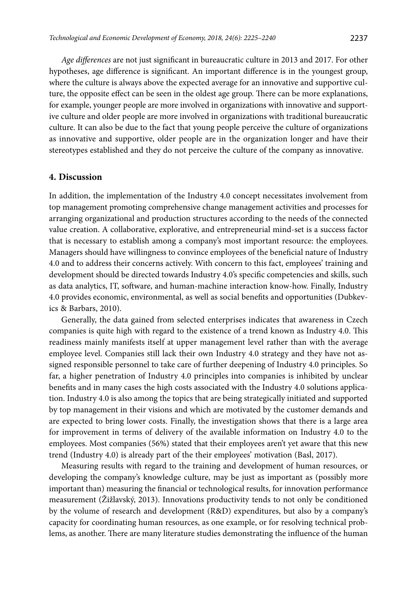*Age differences* are not just significant in bureaucratic culture in 2013 and 2017. For other hypotheses, age difference is significant. An important difference is in the youngest group, where the culture is always above the expected average for an innovative and supportive culture, the opposite effect can be seen in the oldest age group. There can be more explanations, for example, younger people are more involved in organizations with innovative and supportive culture and older people are more involved in organizations with traditional bureaucratic culture. It can also be due to the fact that young people perceive the culture of organizations as innovative and supportive, older people are in the organization longer and have their stereotypes established and they do not perceive the culture of the company as innovative.

#### **4. Discussion**

In addition, the implementation of the Industry 4.0 concept necessitates involvement from top management promoting comprehensive change management activities and processes for arranging organizational and production structures according to the needs of the connected value creation. A collaborative, explorative, and entrepreneurial mind-set is a success factor that is necessary to establish among a company's most important resource: the employees. Managers should have willingness to convince employees of the beneficial nature of Industry 4.0 and to address their concerns actively. With concern to this fact, employees' training and development should be directed towards Industry 4.0's specific competencies and skills, such as data analytics, IT, software, and human-machine interaction know-how. Finally, Industry 4.0 provides economic, environmental, as well as social benefits and opportunities (Dubkevics & Barbars, 2010).

Generally, the data gained from selected enterprises indicates that awareness in Czech companies is quite high with regard to the existence of a trend known as Industry 4.0. This readiness mainly manifests itself at upper management level rather than with the average employee level. Companies still lack their own Industry 4.0 strategy and they have not assigned responsible personnel to take care of further deepening of Industry 4.0 principles. So far, a higher penetration of Industry 4.0 principles into companies is inhibited by unclear benefits and in many cases the high costs associated with the Industry 4.0 solutions application. Industry 4.0 is also among the topics that are being strategically initiated and supported by top management in their visions and which are motivated by the customer demands and are expected to bring lower costs. Finally, the investigation shows that there is a large area for improvement in terms of delivery of the available information on Industry 4.0 to the employees. Most companies (56%) stated that their employees aren't yet aware that this new trend (Industry 4.0) is already part of the their employees' motivation (Basl, 2017).

Measuring results with regard to the training and development of human resources, or developing the company's knowledge culture, may be just as important as (possibly more important than) measuring the financial or technological results, for innovation performance measurement (Žižlavský, 2013). Innovations productivity tends to not only be conditioned by the volume of research and development (R&D) expenditures, but also by a company's capacity for coordinating human resources, as one example, or for resolving technical problems, as another. There are many literature studies demonstrating the influence of the human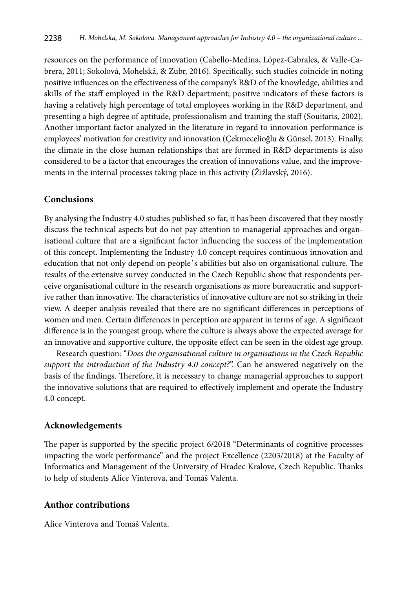resources on the performance of innovation (Cabello-Medina, López-Cabrales, & Valle-Cabrera, 2011; Sokolová, Mohelská, & Zubr, 2016). Specifically, such studies coincide in noting positive influences on the effectiveness of the company's R&D of the knowledge, abilities and skills of the staff employed in the R&D department; positive indicators of these factors is having a relatively high percentage of total employees working in the R&D department, and presenting a high degree of aptitude, professionalism and training the staff (Souitaris, 2002). Another important factor analyzed in the literature in regard to innovation performance is employees' motivation for creativity and innovation (Çekmecelioğlu & Günsel, 2013). Finally, the climate in the close human relationships that are formed in R&D departments is also considered to be a factor that encourages the creation of innovations value, and the improvements in the internal processes taking place in this activity (Žižlavský, 2016).

# **Conclusions**

By analysing the Industry 4.0 studies published so far, it has been discovered that they mostly discuss the technical aspects but do not pay attention to managerial approaches and organisational culture that are a significant factor influencing the success of the implementation of this concept. Implementing the Industry 4.0 concept requires continuous innovation and education that not only depend on people᾽s abilities but also on organisational culture. The results of the extensive survey conducted in the Czech Republic show that respondents perceive organisational culture in the research organisations as more bureaucratic and supportive rather than innovative. The characteristics of innovative culture are not so striking in their view. A deeper analysis revealed that there are no significant differences in perceptions of women and men. Certain differences in perception are apparent in terms of age. A significant difference is in the youngest group, where the culture is always above the expected average for an innovative and supportive culture, the opposite effect can be seen in the oldest age group.

Research question: "*Does the organisational culture in organisations in the Czech Republic support the introduction of the Industry 4.0 concept?*". Can be answered negatively on the basis of the findings. Therefore, it is necessary to change managerial approaches to support the innovative solutions that are required to effectively implement and operate the Industry 4.0 concept.

## **Acknowledgements**

The paper is supported by the specific project 6/2018 "Determinants of cognitive processes impacting the work performance" and the project Excellence (2203/2018) at the Faculty of Informatics and Management of the University of Hradec Kralove, Czech Republic. Thanks to help of students Alice Vinterova, and Tomáš Valenta.

## **Author contributions**

Alice Vinterova and Tomáš Valenta.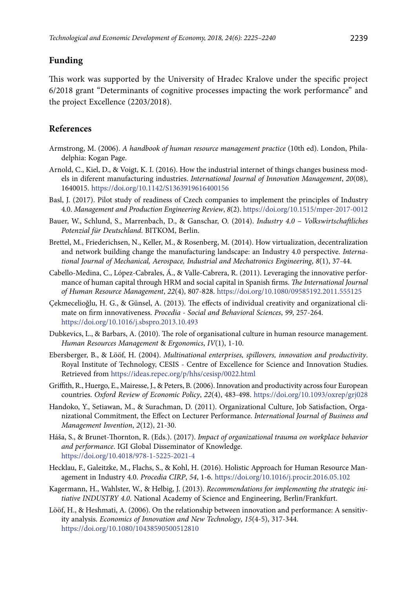# **Funding**

This work was supported by the University of Hradec Kralove under the specific project 6/2018 grant "Determinants of cognitive processes impacting the work performance" and the project Excellence (2203/2018).

# **References**

- Armstrong, M. (2006). *A handbook of human resource management practice* (10th ed). London, Philadelphia: Kogan Page.
- Arnold, C., Kiel, D., & Voigt, K. I. (2016). How the industrial internet of things changes business models in diferent manufacturing industries. *International Journal of Innovation Management*, *20*(08), 1640015. https://doi.org/10.1142/S1363919616400156
- Basl, J. (2017). Pilot study of readiness of Czech companies to implement the principles of Industry 4.0. *Management and Production Engineering Review*, *8*(2). https://doi.org/10.1515/mper-2017-0012
- Bauer, W., Schlund, S., Marrenbach, D., & Ganschar, O. (2014). *Industry 4.0 Volkswirtschaftliches Potenzial für Deutschland*. BITKOM, Berlin.
- Brettel, M., Friederichsen, N., Keller, M., & Rosenberg, M. (2014). How virtualization, decentralization and network building change the manufacturing landscape: an Industry 4.0 perspective. *International Journal of Mechanical, Aerospace, Industrial and Mechatronics Engineering*, *8*(1), 37-44.
- Cabello-Medina, C., López-Cabrales, Á., & Valle-Cabrera, R. (2011). Leveraging the innovative performance of human capital through HRM and social capital in Spanish firms. *The International Journal of Human Resource Management*, *22*(4), 807-828. https://doi.org/10.1080/09585192.2011.555125
- Çekmecelioğlu, H. G., & Günsel, A. (2013). The effects of individual creativity and organizational climate on firm innovativeness. *Procedia - Social and Behavioral Sciences*, *99*, 257-264. https://doi.org/10.1016/j.sbspro.2013.10.493
- Dubkevics, L., & Barbars, A. (2010). The role of organisational culture in human resource management. *Human Resources Management* & *Ergonomics*, *IV*(1), 1-10.
- Ebersberger, B., & Lööf, H. (2004). *Multinational enterprises, spillovers, innovation and productivity*. Royal Institute of Technology, CESIS - Centre of Excellence for Science and Innovation Studies. Retrieved from <https://ideas.repec.org/p/hhs/cesisp/0022.html>
- Griffith, R., Huergo, E., Mairesse, J., & Peters, B. (2006). Innovation and productivity across four European countries. *Oxford Review of Economic Policy*, *22*(4), 483-498. https://doi.org/10.1093/oxrep/grj028
- Handoko, Y., Setiawan, M., & Surachman, D. (2011). Organizational Culture, Job Satisfaction, Organizational Commitment, the Effect on Lecturer Performance. *International Journal of Business and Management Invention*, *2*(12), 21-30.
- Háša, S., & Brunet-Thornton, R. (Eds.). (2017). *Impact of organizational trauma on workplace behavior and performance*. IGI Global Disseminator of Knowledge. https://doi.org/10.4018/978-1-5225-2021-4
- Hecklau, F., Galeitzke, M., Flachs, S., & Kohl, H. (2016). Holistic Approach for Human Resource Management in Industry 4.0. *Procedia CIRP*, *54*, 1-6. https://doi.org/10.1016/j.procir.2016.05.102
- Kagermann, H., Wahlster, W., & Helbig, J. (2013). *Recommendations for implementing the strategic initiative INDUSTRY 4.0*. National Academy of Science and Engineering, Berlin/Frankfurt.
- Lööf, H., & Heshmati, A. (2006). On the relationship between innovation and performance: A sensitivity analysis. *Economics of Innovation and New Technology*, *15*(4-5), 317-344. https://doi.org/10.1080/10438590500512810